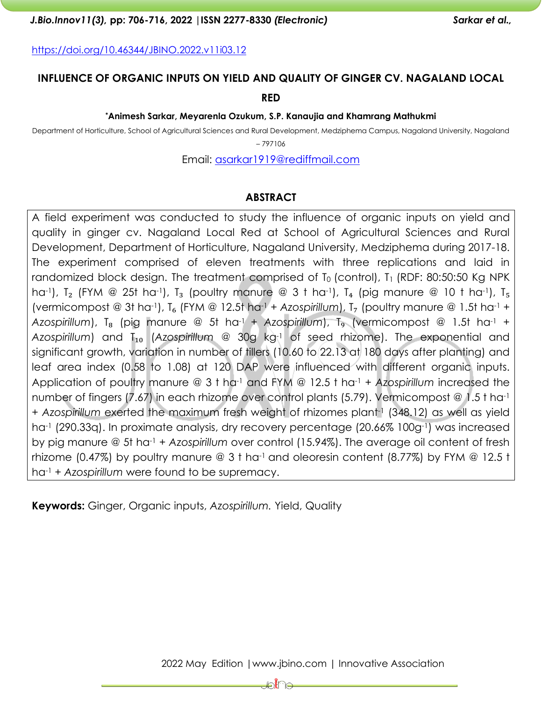#### *J.Bio.Innov11(3),* **pp: 706-716, 2022 |ISSN 2277-8330** *(Electronic) Sarkar et al.,*

**RED**

#### **\*Animesh Sarkar, Meyarenla Ozukum, S.P. Kanaujia and Khamrang Mathukmi**

Department of Horticulture, School of Agricultural Sciences and Rural Development, Medziphema Campus, Nagaland University, Nagaland

– 797106

Email: [asarkar1919@rediffmail.com](mailto:asarkar1919@rediffmail.com)

## **ABSTRACT**

A field experiment was conducted to study the influence of organic inputs on yield and quality in ginger cv. Nagaland Local Red at School of Agricultural Sciences and Rural Development, Department of Horticulture, Nagaland University, Medziphema during 2017-18. The experiment comprised of eleven treatments with three replications and laid in randomized block design. The treatment comprised of T<sub>0</sub> (control), T<sub>1</sub> (RDF: 80:50:50 Kg NPK ha<sup>-1</sup>), T<sub>2</sub> (FYM @ 25t ha<sup>-1</sup>), T<sub>3</sub> (poultry manure @ 3 t ha<sup>-1</sup>), T<sub>4</sub> (pig manure @ 10 t ha<sup>-1</sup>), T<sub>5</sub> (vermicompost @ 3t ha<sup>-1</sup>),  $T_6$  (FYM @ 12.5t ha<sup>-1</sup> + *Azospirillum*),  $T_7$  (poultry manure @ 1.5t ha<sup>-1</sup> + *Azospirillum*), T₈ (pig manure @ 5t ha-1 + *Azospirillum*), T₉ (vermicompost @ 1.5t ha-1 + *Azospirillum*) and T<sub>10</sub> (Azospirillum @ 30g kg-<sup>1</sup> of seed rhizome). The exponential and significant growth, variation in number of tillers (10.60 to 22.13 at 180 days after planting) and leaf area index (0.58 to 1.08) at 120 DAP were influenced with different organic inputs. Application of poultry manure @ 3 t ha-1 and FYM @ 12.5 t ha-1 + *Azospirillum* increased the number of fingers (7.67) in each rhizome over control plants (5.79). Vermicompost @ 1.5 t ha-1 + *Azospirillum* exerted the maximum fresh weight of rhizomes plant-1 (348.12) as well as yield ha<sup>-1</sup> (290.33q). In proximate analysis, dry recovery percentage (20.66% 100g<sup>-1</sup>) was increased by pig manure @ 5t ha-1 + *Azospirillum* over control (15.94%). The average oil content of fresh rhizome (0.47%) by poultry manure  $\textcircled{a}$  3 t ha<sup>-1</sup> and oleoresin content (8.77%) by FYM  $\textcircled{a}$  12.5 t ha-1 + *Azospirillum* were found to be supremacy.

**Keywords:** Ginger, Organic inputs, *Azospirillum.* Yield, Quality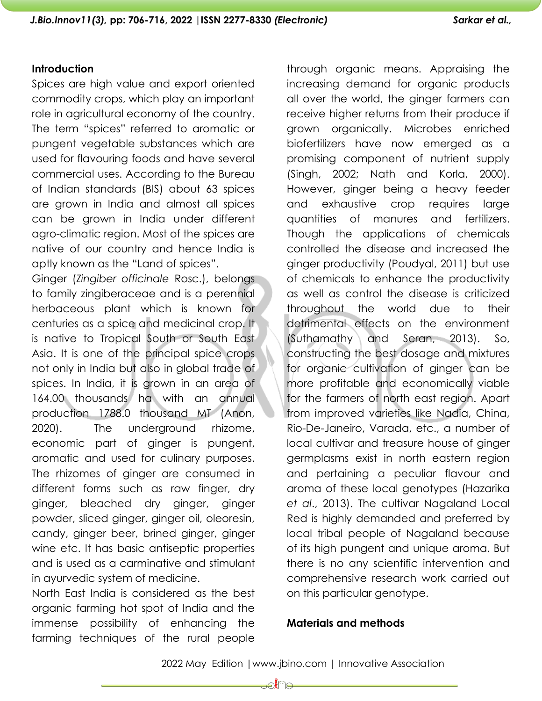## **Introduction**

Spices are high value and export oriented commodity crops, which play an important role in agricultural economy of the country. The term "spices" referred to aromatic or pungent vegetable substances which are used for flavouring foods and have several commercial uses. According to the Bureau of Indian standards (BIS) about 63 spices are grown in India and almost all spices can be grown in India under different agro-climatic region. Most of the spices are native of our country and hence India is aptly known as the "Land of spices".

Ginger (*Zingiber officinale* Rosc.), belongs to family zingiberaceae and is a perennial herbaceous plant which is known for centuries as a spice and medicinal crop. It is native to Tropical South or South East Asia. It is one of the principal spice crops not only in India but also in global trade of spices. In India, it is grown in an area of 164.00 thousands ha with an annual production 1788.0 thousand MT (Anon, 2020). The underground rhizome, economic part of ginger is pungent, aromatic and used for culinary purposes. The rhizomes of ginger are consumed in different forms such as raw finger, dry ginger, bleached dry ginger, ginger powder, sliced ginger, ginger oil, oleoresin, candy, ginger beer, brined ginger, ginger wine etc. It has basic antiseptic properties and is used as a carminative and stimulant in ayurvedic system of medicine.

North East India is considered as the best organic farming hot spot of India and the immense possibility of enhancing the farming techniques of the rural people

through organic means. Appraising the increasing demand for organic products all over the world, the ginger farmers can receive higher returns from their produce if grown organically. Microbes enriched biofertilizers have now emerged as a promising component of nutrient supply (Singh, 2002; Nath and Korla, 2000). However, ginger being a heavy feeder and exhaustive crop requires large quantities of manures and fertilizers. Though the applications of chemicals controlled the disease and increased the ginger productivity (Poudyal, 2011) but use of chemicals to enhance the productivity as well as control the disease is criticized throughout the world due to their detrimental effects on the environment (Suthamathy and Seran, 2013). So, constructing the best dosage and mixtures for organic cultivation of ginger can be more profitable and economically viable for the farmers of north east region. Apart from improved varieties like Nadia, China, Rio-De-Janeiro, Varada, etc., a number of local cultivar and treasure house of ginger germplasms exist in north eastern region and pertaining a peculiar flavour and aroma of these local genotypes (Hazarika *et al*., 2013). The cultivar Nagaland Local Red is highly demanded and preferred by local tribal people of Nagaland because of its high pungent and unique aroma. But there is no any scientific intervention and comprehensive research work carried out on this particular genotype.

# **Materials and methods**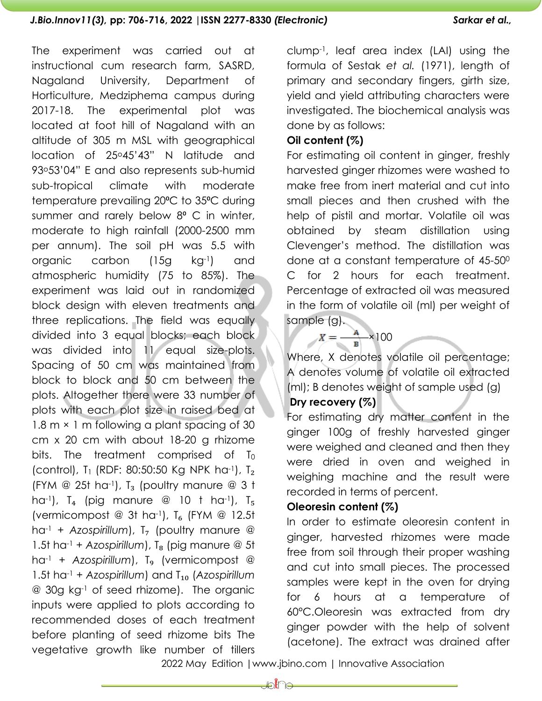The experiment was carried out at instructional cum research farm, SASRD, Nagaland University, Department of Horticulture, Medziphema campus during 2017-18. The experimental plot was located at foot hill of Nagaland with an altitude of 305 m MSL with geographical location of 25o45'43" N latitude and 93o53'04" E and also represents sub-humid sub-tropical climate with moderate temperature prevailing 20°C to 35°C during summer and rarely below 8° C in winter, moderate to high rainfall (2000-2500 mm per annum). The soil pH was 5.5 with organic carbon (15g kg-1) and atmospheric humidity (75 to 85%). The experiment was laid out in randomized block design with eleven treatments and three replications. The field was equally divided into 3 equal blocks; each block was divided into 11 equal size-plots. Spacing of 50 cm was maintained from block to block and 50 cm between the plots. Altogether there were 33 number of plots with each plot size in raised bed at 1.8 m  $\times$  1 m following a plant spacing of 30 cm x 20 cm with about 18-20 g rhizome bits. The treatment comprised of  $T_0$ (control), T<sub>1</sub> (RDF: 80:50:50 Kg NPK ha<sup>-1</sup>), T<sub>2</sub> (FYM @ 25t ha<sup>-1</sup>),  $T_3$  (poultry manure @ 3 t ha<sup>-1</sup>),  $T_4$  (pig manure @ 10 t ha<sup>-1</sup>),  $T_5$ (vermicompost @ 3t ha<sup>-1</sup>),  $T_6$  (FYM @ 12.5t  $ha^{-1}$  + *Azospirillum*),  $T<sub>7</sub>$  (poultry manure @ 1.5t ha<sup>-1</sup> + *Azospirillum*),  $T<sub>8</sub>$  (pig manure @ 5t ha<sup>-1</sup> + *Azospirillum*), T<sub>9</sub> (vermicompost @ 1.5t ha-1 + *Azospirillum*) and T₁₀ (*Azospirillum* @ 30g kg-1 of seed rhizome). The organic inputs were applied to plots according to recommended doses of each treatment before planting of seed rhizome bits The vegetative growth like number of tillers

clump-1, leaf area index (LAI) using the formula of Sestak *et al.* (1971), length of primary and secondary fingers, girth size, yield and yield attributing characters were investigated. The biochemical analysis was done by as follows:

#### **Oil content (%)**

For estimating oil content in ginger, freshly harvested ginger rhizomes were washed to make free from inert material and cut into small pieces and then crushed with the help of pistil and mortar. Volatile oil was obtained by steam distillation using Clevenger's method. The distillation was done at a constant temperature of 45-50<sup>0</sup> C for 2 hours for each treatment. Percentage of extracted oil was measured in the form of volatile oil (ml) per weight of sample (g).

 $X = \frac{A}{B} \times 100$ 

Where, X denotes volatile oil percentage; A denotes volume of volatile oil extracted (ml); B denotes weight of sample used (g)

# **Dry recovery (%)**

For estimating dry matter content in the ginger 100g of freshly harvested ginger were weighed and cleaned and then they were dried in oven and weighed in weighing machine and the result were recorded in terms of percent.

### **Oleoresin content (%)**

In order to estimate oleoresin content in ginger, harvested rhizomes were made free from soil through their proper washing and cut into small pieces. The processed samples were kept in the oven for drying for 6 hours at a temperature of 60°C.Oleoresin was extracted from dry ginger powder with the help of solvent (acetone). The extract was drained after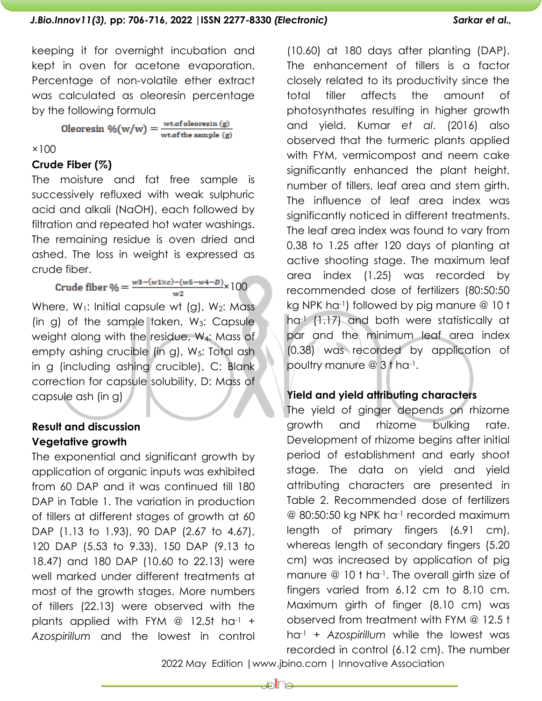keeping it for overnight incubation and kept in oven for acetone evaporation. Percentage of non-volatile ether extract was calculated as oleoresin percentage by the following formula

Oleoresin  $\mathcal{W}(w/w) = \frac{\text{wt.of oleoresin (g)}}{\text{wt.of the sample (g)}}$ 

#### $×100$

## **Crude Fiber (%)**

The moisture and fat free sample is successively refluxed with weak sulphuric acid and alkali (NaOH), each followed by filtration and repeated hot water washings. The remaining residue is oven dried and ashed. The loss in weight is expressed as crude fiber.

Crude fiber % =  $\frac{w3-(w1 \times c)-(w5-w4-D)}{w2} \times 100$ 

Where,  $W_1$ : Initial capsule wt (g),  $W_2$ : Mass (in g) of the sample taken,  $W_3$ : Capsule weight along with the residue, W4: Mass of empty ashing crucible (in g), W<sub>5</sub>: Total ash in g (including ashing crucible), C: Blank correction for capsule solubility, D: Mass of capsule ash (in g)

# **Result and discussion Vegetative growth**

The exponential and significant growth by application of organic inputs was exhibited from 60 DAP and it was continued till 180 DAP in Table 1. The variation in production of tillers at different stages of growth at 60 DAP (1.13 to 1.93), 90 DAP (2.67 to 4.67), 120 DAP (5.53 to 9.33), 150 DAP (9.13 to 18.47) and 180 DAP (10.60 to 22.13) were well marked under different treatments at most of the growth stages. More numbers of tillers (22.13) were observed with the plants applied with FYM  $\omega$  12.5t ha<sup>-1</sup> + *Azospirillum* and the lowest in control (10.60) at 180 days after planting (DAP). The enhancement of tillers is a factor closely related to its productivity since the total tiller affects the amount of photosynthates resulting in higher growth and yield. Kumar *et al*. (2016) also observed that the turmeric plants applied with FYM, vermicompost and neem cake significantly enhanced the plant height, number of tillers, leaf area and stem girth. The influence of leaf area index was significantly noticed in different treatments. The leaf area index was found to vary from 0.38 to 1.25 after 120 days of planting at active shooting stage. The maximum leaf area index (1.25) was recorded by recommended dose of fertilizers (80:50:50 kg NPK ha-1) followed by pig manure @ 10 t ha<sup>-1</sup> (1.17) and both were statistically at par and the minimum leaf area index (0.38) was recorded by application of poultry manure @ 3 t ha-1.

# **Yield and yield attributing characters**

The yield of ginger depends on rhizome growth and rhizome bulking rate. Development of rhizome begins after initial period of establishment and early shoot stage. The data on yield and yield attributing characters are presented in Table 2. Recommended dose of fertilizers @ 80:50:50 kg NPK ha-1 recorded maximum length of primary fingers (6.91 cm), whereas length of secondary fingers (5.20 cm) was increased by application of pig manure @ 10 t ha-1. The overall girth size of fingers varied from 6.12 cm to 8.10 cm. Maximum girth of finger (8.10 cm) was observed from treatment with FYM @ 12.5 t ha-1 + *Azospirillum* while the lowest was recorded in control (6.12 cm). The number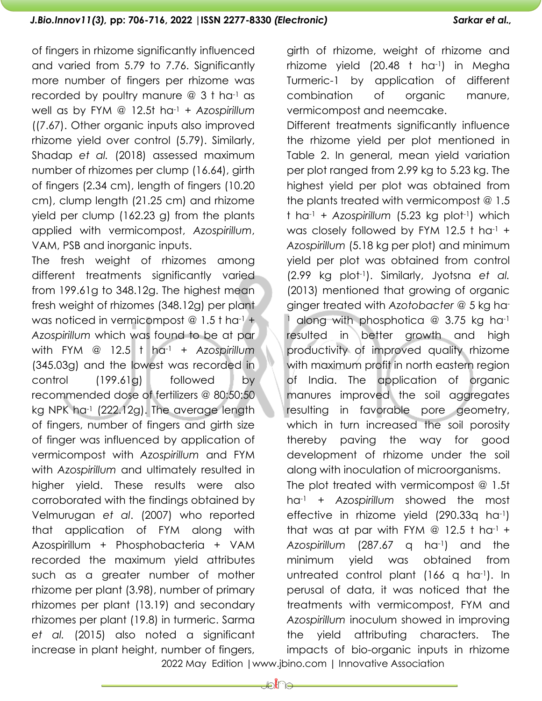of fingers in rhizome significantly influenced and varied from 5.79 to 7.76. Significantly more number of fingers per rhizome was recorded by poultry manure  $@3$  t ha<sup>-1</sup> as well as by FYM @ 12.5t ha-1 + *Azospirillum* ((7.67). Other organic inputs also improved rhizome yield over control (5.79). Similarly, Shadap *et al.* (2018) assessed maximum number of rhizomes per clump (16.64), girth of fingers (2.34 cm), length of fingers (10.20 cm), clump length (21.25 cm) and rhizome yield per clump (162.23 g) from the plants applied with vermicompost, *Azospirillum*, VAM, PSB and inorganic inputs.

The fresh weight of rhizomes among different treatments significantly varied from 199.61g to 348.12g. The highest mean fresh weight of rhizomes (348.12g) per plant was noticed in vermicompost  $@ 1.5$ t ha-1 + *Azospirillum* which was found to be at par with FYM @ 12.5 t ha-1 + *Azospirillum* (345.03g) and the lowest was recorded in control (199.61g) followed by recommended dose of fertilizers @ 80:50:50 kg NPK ha<sup>-1</sup> (222.12g). The average length of fingers, number of fingers and girth size of finger was influenced by application of vermicompost with *Azospirillum* and FYM with *Azospirillum* and ultimately resulted in higher yield. These results were also corroborated with the findings obtained by Velmurugan *et al*. (2007) who reported that application of FYM along with Azospirillum + Phosphobacteria + VAM recorded the maximum yield attributes such as a greater number of mother rhizome per plant (3.98), number of primary rhizomes per plant (13.19) and secondary rhizomes per plant (19.8) in turmeric. Sarma *et al.* (2015) also noted a significant increase in plant height, number of fingers,

girth of rhizome, weight of rhizome and rhizome yield (20.48 t ha-1) in Megha Turmeric-1 by application of different combination of organic manure, vermicompost and neemcake.

Different treatments significantly influence the rhizome yield per plot mentioned in Table 2. In general, mean yield variation per plot ranged from 2.99 kg to 5.23 kg. The highest yield per plot was obtained from the plants treated with vermicompost @ 1.5 t ha-1 + *Azospirillum* (5.23 kg plot-1) which was closely followed by FYM 12.5 t ha-1 + *Azospirillum* (5.18 kg per plot) and minimum yield per plot was obtained from control (2.99 kg plot-1). Similarly, Jyotsna *et al.* (2013) mentioned that growing of organic ginger treated with *Azotobacter* @ 5 kg ha-<sup>1</sup> along with phosphotica  $@$  3.75 kg ha<sup>-1</sup> resulted in better growth and high productivity of improved quality rhizome with maximum profit in north eastern region of India. The application of organic manures improved the soil aggregates resulting in favorable pore geometry, which in turn increased the soil porosity thereby paving the way for good development of rhizome under the soil along with inoculation of microorganisms. The plot treated with vermicompost @ 1.5t ha-1 + *Azospirillum* showed the most effective in rhizome yield (290.33q ha-1) that was at par with FYM  $\textcircled{2}$  12.5 t ha<sup>-1</sup> + *Azospirillum* (287.67 q ha-1) and the minimum yield was obtained from untreated control plant (166 q ha-1). In perusal of data, it was noticed that the treatments with vermicompost, FYM and *Azospirillum* inoculum showed in improving the yield attributing characters. The impacts of bio-organic inputs in rhizome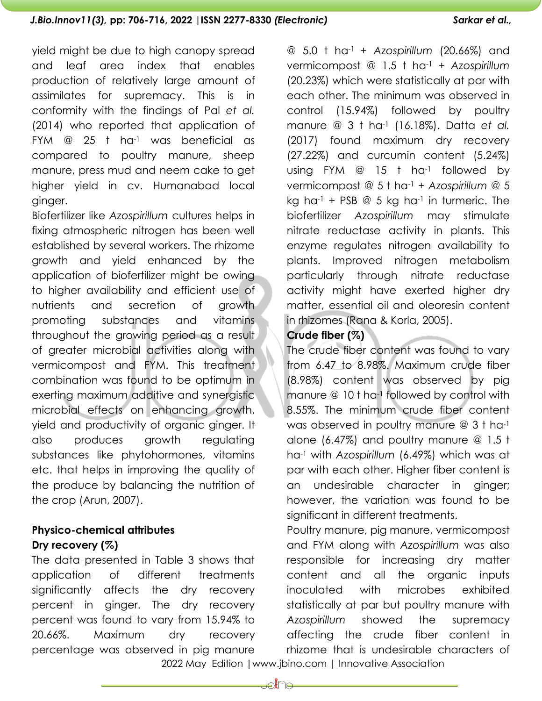yield might be due to high canopy spread and leaf area index that enables production of relatively large amount of assimilates for supremacy. This is in conformity with the findings of Pal *et al.*  (2014) who reported that application of FYM  $@$  25 t ha<sup>-1</sup> was beneficial as compared to poultry manure, sheep manure, press mud and neem cake to get higher yield in cv. Humanabad local ginger.

Biofertilizer like *Azospirillum* cultures helps in fixing atmospheric nitrogen has been well established by several workers. The rhizome growth and yield enhanced by the application of biofertilizer might be owing to higher availability and efficient use of nutrients and secretion of growth promoting substances and vitamins throughout the growing period as a result of greater microbial activities along with vermicompost and FYM. This treatment combination was found to be optimum in exerting maximum additive and synergistic microbial effects on enhancing growth, yield and productivity of organic ginger. It also produces growth regulating substances like phytohormones, vitamins etc. that helps in improving the quality of the produce by balancing the nutrition of the crop (Arun, 2007).

# **Physico-chemical attributes Dry recovery (%)**

The data presented in Table 3 shows that application of different treatments significantly affects the dry recovery percent in ginger. The dry recovery percent was found to vary from 15.94% to 20.66%. Maximum dry recovery percentage was observed in pig manure

@ 5.0 t ha-1 + *Azospirillum* (20.66%) and vermicompost @ 1.5 t ha-1 + *Azospirillum* (20.23%) which were statistically at par with each other. The minimum was observed in control (15.94%) followed by poultry manure @ 3 t ha-1 (16.18%). Datta *et al.* (2017) found maximum dry recovery (27.22%) and curcumin content (5.24%) using FYM @ 15 t ha-1 followed by vermicompost @ 5 t ha-1 + *Azospirillum* @ 5 kg ha<sup>-1</sup> + PSB  $@$  5 kg ha<sup>-1</sup> in turmeric. The biofertilizer *Azospirillum* may stimulate nitrate reductase activity in plants. This enzyme regulates nitrogen availability to plants. Improved nitrogen metabolism particularly through nitrate reductase activity might have exerted higher dry matter, essential oil and oleoresin content in rhizomes (Rana & Korla, 2005).

# **Crude fiber (%)**

The crude fiber content was found to vary from 6.47 to 8.98%. Maximum crude fiber (8.98%) content was observed by pig manure @ 10 t ha<sup>-1</sup> followed by control with 8.55%. The minimum crude fiber content was observed in poultry manure @ 3 t ha-1 alone (6.47%) and poultry manure @ 1.5 t ha-1 with *Azospirillum* (6.49%) which was at par with each other. Higher fiber content is an undesirable character in ginger; however, the variation was found to be significant in different treatments.

Poultry manure, pig manure, vermicompost and FYM along with *Azospirillum* was also responsible for increasing dry matter content and all the organic inputs inoculated with microbes exhibited statistically at par but poultry manure with *Azospirillum* showed the supremacy affecting the crude fiber content in rhizome that is undesirable characters of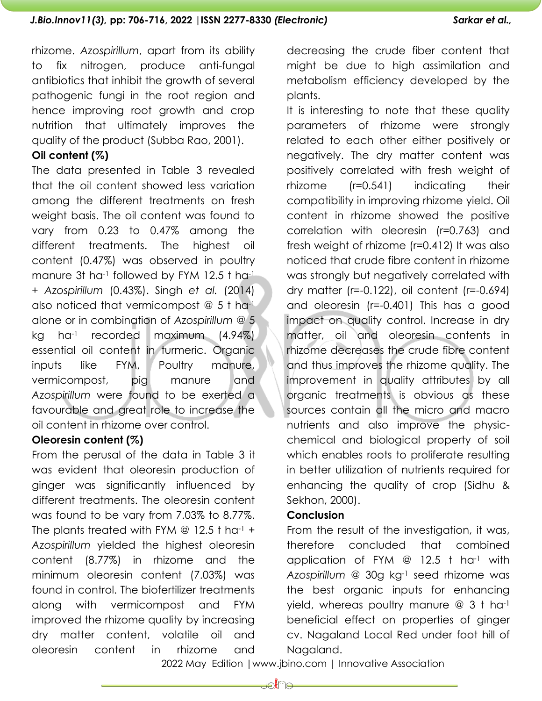rhizome. *Azospirillum*, apart from its ability to fix nitrogen, produce anti-fungal antibiotics that inhibit the growth of several pathogenic fungi in the root region and hence improving root growth and crop nutrition that ultimately improves the quality of the product (Subba Rao, 2001).

## **Oil content (%)**

The data presented in Table 3 revealed that the oil content showed less variation among the different treatments on fresh weight basis. The oil content was found to vary from 0.23 to 0.47% among the different treatments. The highest oil content (0.47%) was observed in poultry manure 3t ha<sup>-1</sup> followed by FYM 12.5 t ha<sup>-1</sup> + *Azospirillum* (0.43%). Singh *et al.* (2014) also noticed that vermicompost @ 5 t ha-1 alone or in combination of *Azospirillum* @ 5 kg ha-1 recorded maximum (4.94%) essential oil content in turmeric. Organic inputs like FYM, Poultry manure, vermicompost, pig manure and *Azospirillum* were found to be exerted a favourable and great role to increase the oil content in rhizome over control.

### **Oleoresin content (%)**

From the perusal of the data in Table 3 it was evident that oleoresin production of ginger was significantly influenced by different treatments. The oleoresin content was found to be vary from 7.03% to 8.77%. The plants treated with FYM  $\omega$  12.5 t had + *Azospirillum* yielded the highest oleoresin content (8.77%) in rhizome and the minimum oleoresin content (7.03%) was found in control. The biofertilizer treatments along with vermicompost and FYM improved the rhizome quality by increasing dry matter content, volatile oil and oleoresin content in rhizome and

decreasing the crude fiber content that might be due to high assimilation and metabolism efficiency developed by the plants.

It is interesting to note that these quality parameters of rhizome were strongly related to each other either positively or negatively. The dry matter content was positively correlated with fresh weight of rhizome (r=0.541) indicating their compatibility in improving rhizome yield. Oil content in rhizome showed the positive correlation with oleoresin (r=0.763) and fresh weight of rhizome (r=0.412) It was also noticed that crude fibre content in rhizome was strongly but negatively correlated with dry matter (r=-0.122), oil content (r=-0.694) and oleoresin (r=-0.401) This has a good impact on quality control. Increase in dry matter, oil and oleoresin contents in rhizome decreases the crude fibre content and thus improves the rhizome quality. The improvement in quality attributes by all organic treatments is obvious as these sources contain all the micro and macro nutrients and also improve the physicchemical and biological property of soil which enables roots to proliferate resulting in better utilization of nutrients required for enhancing the quality of crop (Sidhu & Sekhon, 2000).

### **Conclusion**

From the result of the investigation, it was, therefore concluded that combined application of FYM @ 12.5 t ha-1 with *Azospirillum* @ 30g kg-1 seed rhizome was the best organic inputs for enhancing yield, whereas poultry manure  $@3$  t ha<sup>-1</sup> beneficial effect on properties of ginger cv. Nagaland Local Red under foot hill of Nagaland.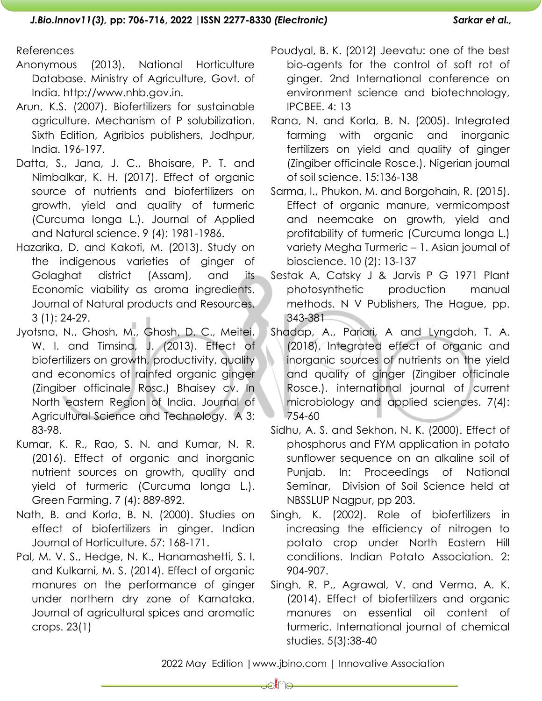#### References

- Anonymous (2013). National Horticulture Database. Ministry of Agriculture, Govt. of India. http://www.nhb.gov.in.
- Arun, K.S. (2007). Biofertilizers for sustainable agriculture. Mechanism of P solubilization. Sixth Edition, Agribios publishers, Jodhpur, India. 196-197.
- Datta, S., Jana, J. C., Bhaisare, P. T. and Nimbalkar, K. H. (2017). Effect of organic source of nutrients and biofertilizers on growth, yield and quality of turmeric (Curcuma longa L.). Journal of Applied and Natural science. 9 (4): 1981-1986.
- Hazarika, D. and Kakoti, M. (2013). Study on the indigenous varieties of ginger of Golaghat district (Assam), and its Economic viability as aroma ingredients. Journal of Natural products and Resources. 3 (1): 24-29.
- Jyotsna, N., Ghosh, M., Ghosh, D. C., Meitei, W. I. and Timsina, J. (2013). Effect of biofertilizers on growth, productivity, quality and economics of rainfed organic ginger (Zingiber officinale Rosc.) Bhaisey cv. In North eastern Region of India. Journal of Agricultural Science and Technology. A 3: 83-98.
- Kumar, K. R., Rao, S. N. and Kumar, N. R. (2016). Effect of organic and inorganic nutrient sources on growth, quality and yield of turmeric (Curcuma longa L.). Green Farming. 7 (4): 889-892.
- Nath, B. and Korla, B. N. (2000). Studies on effect of biofertilizers in ginger. Indian Journal of Horticulture. 57: 168-171.
- Pal, M. V. S., Hedge, N. K., Hanamashetti, S. I. and Kulkarni, M. S. (2014). Effect of organic manures on the performance of ginger under northern dry zone of Karnataka. Journal of agricultural spices and aromatic crops. 23(1)
- Poudyal, B. K. (2012) Jeevatu: one of the best bio-agents for the control of soft rot of ginger. 2nd International conference on environment science and biotechnology, IPCBEE. 4: 13
- Rana, N. and Korla, B. N. (2005). Integrated farming with organic and inorganic fertilizers on yield and quality of ginger (Zingiber officinale Rosce.). Nigerian journal of soil science. 15:136-138
- Sarma, I., Phukon, M. and Borgohain, R. (2015). Effect of organic manure, vermicompost and neemcake on growth, yield and profitability of turmeric (Curcuma longa L.) variety Megha Turmeric – 1. Asian journal of bioscience. 10 (2): 13-137
- Sestak A, Catsky J & Jarvis P G 1971 Plant photosynthetic production manual methods. N V Publishers, The Hague, pp. 343-381
- Shadap, A., Pariari, A and Lyngdoh, T. A. (2018). Integrated effect of organic and inorganic sources of nutrients on the yield and quality of ginger (Zingiber officinale Rosce.). international journal of current microbiology and applied sciences. 7(4): 754-60
- Sidhu, A. S. and Sekhon, N. K. (2000). Effect of phosphorus and FYM application in potato sunflower sequence on an alkaline soil of Punjab. In: Proceedings of National Seminar, Division of Soil Science held at NBSSLUP Nagpur, pp 203.
- Singh, K. (2002). Role of biofertilizers in increasing the efficiency of nitrogen to potato crop under North Eastern Hill conditions. Indian Potato Association. 2: 904-907.
- Singh, R. P., Agrawal, V. and Verma, A. K. (2014). Effect of biofertilizers and organic manures on essential oil content of turmeric. International journal of chemical studies. 5(3):38-40

2022 May Edition |www.jbino.com | Innovative Association

JA 10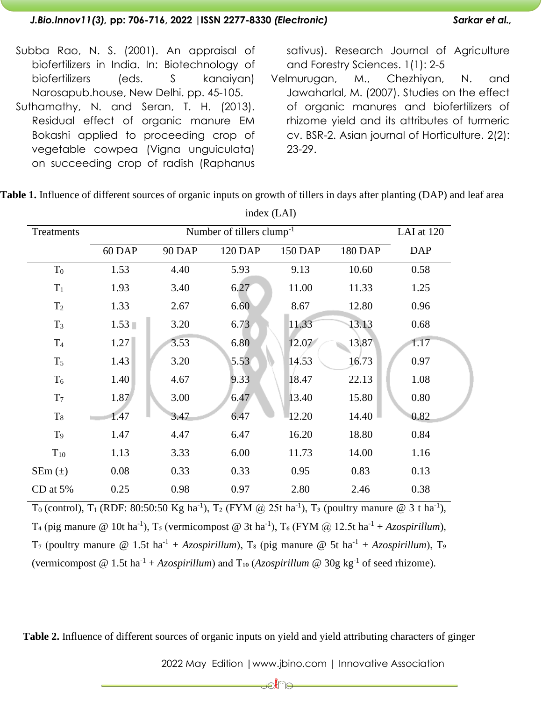- Subba Rao, N. S. (2001). An appraisal of biofertilizers in India. In: Biotechnology of biofertilizers (eds. S kanaiyan) Narosapub.house, New Delhi. pp. 45-105.
- Suthamathy, N. and Seran, T. H. (2013). Residual effect of organic manure EM Bokashi applied to proceeding crop of vegetable cowpea (Vigna unguiculata) on succeeding crop of radish (Raphanus

sativus). Research Journal of Agriculture and Forestry Sciences. 1(1): 2-5

Velmurugan, M., Chezhiyan, N. and Jawaharlal, M. (2007). Studies on the effect of organic manures and biofertilizers of rhizome yield and its attributes of turmeric cv. BSR-2. Asian journal of Horticulture. 2(2): 23-29.

|                |                | index (LAI)   |         |                |         |            |  |  |
|----------------|----------------|---------------|---------|----------------|---------|------------|--|--|
| Treatments     |                | LAI at 120    |         |                |         |            |  |  |
|                | 60 DAP         | <b>90 DAP</b> | 120 DAP | <b>150 DAP</b> | 180 DAP | <b>DAP</b> |  |  |
| $T_0$          | 1.53           | 4.40          | 5.93    | 9.13           | 10.60   | 0.58       |  |  |
| $T_1$          | 1.93           | 3.40          | 6.27    | 11.00          | 11.33   | 1.25       |  |  |
| T <sub>2</sub> | 1.33           | 2.67          | 6.60    | 8.67           | 12.80   | 0.96       |  |  |
| $T_3$          | $1.53 \square$ | 3.20          | 6.73    | 11.33          | 13.13   | 0.68       |  |  |
| T <sub>4</sub> | 1.27           | 3.53          | 6.80    | 12.07          | 13.87   | 1.17       |  |  |
| $T_5$          | 1.43           | 3.20          | 5.53    | 14.53          | 16.73   | 0.97       |  |  |
| $T_6$          | 1.40           | 4.67          | 9.33    | 18.47          | 22.13   | 1.08       |  |  |
| T <sub>7</sub> | 1.87           | 3.00          | 6.47    | 13.40          | 15.80   | 0.80       |  |  |
| $\rm T8$       | 1.47           | 3.47          | 6.47    | 12.20          | 14.40   | 0.82       |  |  |
| T <sub>9</sub> | 1.47           | 4.47          | 6.47    | 16.20          | 18.80   | 0.84       |  |  |
| $T_{10}$       | 1.13           | 3.33          | 6.00    | 11.73          | 14.00   | 1.16       |  |  |
| SEm $(\pm)$    | 0.08           | 0.33          | 0.33    | 0.95           | 0.83    | 0.13       |  |  |
| CD at 5%       | 0.25           | 0.98          | 0.97    | 2.80           | 2.46    | 0.38       |  |  |

**Table 1.** Influence of different sources of organic inputs on growth of tillers in days after planting (DAP) and leaf area

T<sub>0</sub> (control), T<sub>1</sub> (RDF: 80:50:50 Kg ha<sup>-1</sup>), T<sub>2</sub> (FYM @ 25t ha<sup>-1</sup>), T<sub>3</sub> (poultry manure @ 3 t ha<sup>-1</sup>), T<sub>4</sub> (pig manure @ 10t ha<sup>-1</sup>), T<sub>5</sub> (vermicompost @ 3t ha<sup>-1</sup>), T<sub>6</sub> (FYM @ 12.5t ha<sup>-1</sup> + *Azospirillum*), T<sub>7</sub> (poultry manure @ 1.5t ha<sup>-1</sup> + *Azospirillum*), T<sub>8</sub> (pig manure @ 5t ha<sup>-1</sup> + *Azospirillum*), T<sub>9</sub> (vermicompost  $@ 1.5t$  ha<sup>-1</sup> + *Azospirillum*) and T<sub>10</sub> (*Azospirillum*  $@ 30g$  kg<sup>-1</sup> of seed rhizome).

**Table 2.** Influence of different sources of organic inputs on yield and yield attributing characters of ginger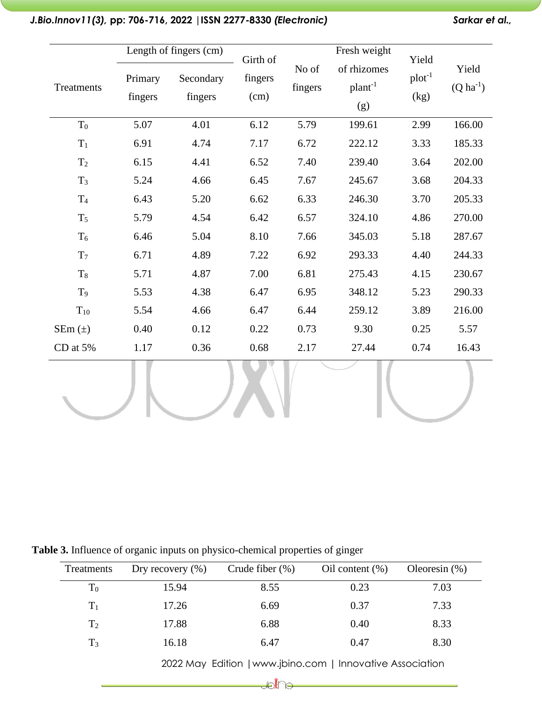|                | Length of fingers (cm) |                      | Girth of        |                  | Fresh weight                            | Yield               |                           |
|----------------|------------------------|----------------------|-----------------|------------------|-----------------------------------------|---------------------|---------------------------|
| Treatments     | Primary<br>fingers     | Secondary<br>fingers | fingers<br>(cm) | No of<br>fingers | of rhizomes<br>plan <sup>1</sup><br>(g) | $plot^{-1}$<br>(kg) | Yield<br>$(Q \, ha^{-1})$ |
| $T_0$          | 5.07                   | 4.01                 | 6.12            | 5.79             | 199.61                                  | 2.99                | 166.00                    |
| $T_1$          | 6.91                   | 4.74                 | 7.17            | 6.72             | 222.12                                  | 3.33                | 185.33                    |
| T <sub>2</sub> | 6.15                   | 4.41                 | 6.52            | 7.40             | 239.40                                  | 3.64                | 202.00                    |
| $T_3$          | 5.24                   | 4.66                 | 6.45            | 7.67             | 245.67                                  | 3.68                | 204.33                    |
| T <sub>4</sub> | 6.43                   | 5.20                 | 6.62            | 6.33             | 246.30                                  | 3.70                | 205.33                    |
| $T_5$          | 5.79                   | 4.54                 | 6.42            | 6.57             | 324.10                                  | 4.86                | 270.00                    |
| $T_6$          | 6.46                   | 5.04                 | 8.10            | 7.66             | 345.03                                  | 5.18                | 287.67                    |
| T <sub>7</sub> | 6.71                   | 4.89                 | 7.22            | 6.92             | 293.33                                  | 4.40                | 244.33                    |
| $T_8$          | 5.71                   | 4.87                 | 7.00            | 6.81             | 275.43                                  | 4.15                | 230.67                    |
| T <sub>9</sub> | 5.53                   | 4.38                 | 6.47            | 6.95             | 348.12                                  | 5.23                | 290.33                    |
| $T_{10}$       | 5.54                   | 4.66                 | 6.47            | 6.44             | 259.12                                  | 3.89                | 216.00                    |
| $SEm(\pm)$     | 0.40                   | 0.12                 | 0.22            | 0.73             | 9.30                                    | 0.25                | 5.57                      |
| CD at 5%       | 1.17                   | 0.36                 | 0.68            | 2.17             | 27.44                                   | 0.74                | 16.43                     |
|                |                        |                      |                 |                  |                                         |                     |                           |

# *J.Bio.Innov11(3),* **pp: 706-716, 2022 |ISSN 2277-8330** *(Electronic) Sarkar et al.,*

**Table 3.** Influence of organic inputs on physico-chemical properties of ginger

| Treatments     | Dry recovery $(\% )$ | Crude fiber $(\%)$ | Oil content $(\%)$ | Oleoresin $(\% )$ |
|----------------|----------------------|--------------------|--------------------|-------------------|
| $\rm T_{0}$    | 15.94                | 8.55               | 0.23               | 7.03              |
| $T_1$          | 17.26                | 6.69               | 0.37               | 7.33              |
| T <sub>2</sub> | 17.88                | 6.88               | 0.40               | 8.33              |
| $T_3$          | 16.18                | 6.47               | 0.47               | 8.30              |

2022 May Edition |www.jbino.com | Innovative Association

**Ubli**ne